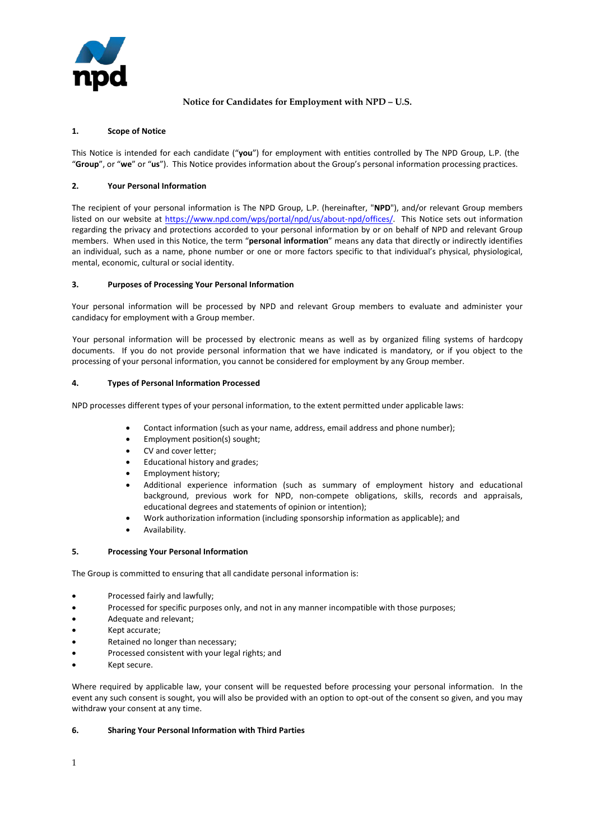

# **Notice for Candidates for Employment with NPD – U.S.**

### **1. Scope of Notice**

This Notice is intended for each candidate ("**you**") for employment with entities controlled by The NPD Group, L.P. (the "**Group**", or "**we**" or "**us**"). This Notice provides information about the Group's personal information processing practices.

# **2. Your Personal Information**

The recipient of your personal information is The NPD Group, L.P. (hereinafter, "**NPD**"), and/or relevant Group members listed on our website a[t https://www.npd.com/wps/portal/npd/us/about-npd/offices/.](https://www.npd.com/wps/portal/npd/us/about-npd/offices/) This Notice sets out information regarding the privacy and protections accorded to your personal information by or on behalf of NPD and relevant Group members. When used in this Notice, the term "**personal information**" means any data that directly or indirectly identifies an individual, such as a name, phone number or one or more factors specific to that individual's physical, physiological, mental, economic, cultural or social identity.

#### **3. Purposes of Processing Your Personal Information**

Your personal information will be processed by NPD and relevant Group members to evaluate and administer your candidacy for employment with a Group member.

Your personal information will be processed by electronic means as well as by organized filing systems of hardcopy documents. If you do not provide personal information that we have indicated is mandatory, or if you object to the processing of your personal information, you cannot be considered for employment by any Group member.

# **4. Types of Personal Information Processed**

NPD processes different types of your personal information, to the extent permitted under applicable laws:

- Contact information (such as your name, address, email address and phone number);
- Employment position(s) sought;
- CV and cover letter;
- Educational history and grades;
- Employment history;
- Additional experience information (such as summary of employment history and educational background, previous work for NPD, non-compete obligations, skills, records and appraisals, educational degrees and statements of opinion or intention);
- Work authorization information (including sponsorship information as applicable); and
- Availability.

#### **5. Processing Your Personal Information**

The Group is committed to ensuring that all candidate personal information is:

- Processed fairly and lawfully;
- Processed for specific purposes only, and not in any manner incompatible with those purposes;
- Adequate and relevant;
- Kept accurate;
- Retained no longer than necessary;
- Processed consistent with your legal rights; and
- Kept secure.

Where required by applicable law, your consent will be requested before processing your personal information. In the event any such consent is sought, you will also be provided with an option to opt-out of the consent so given, and you may withdraw your consent at any time.

#### **6. Sharing Your Personal Information with Third Parties**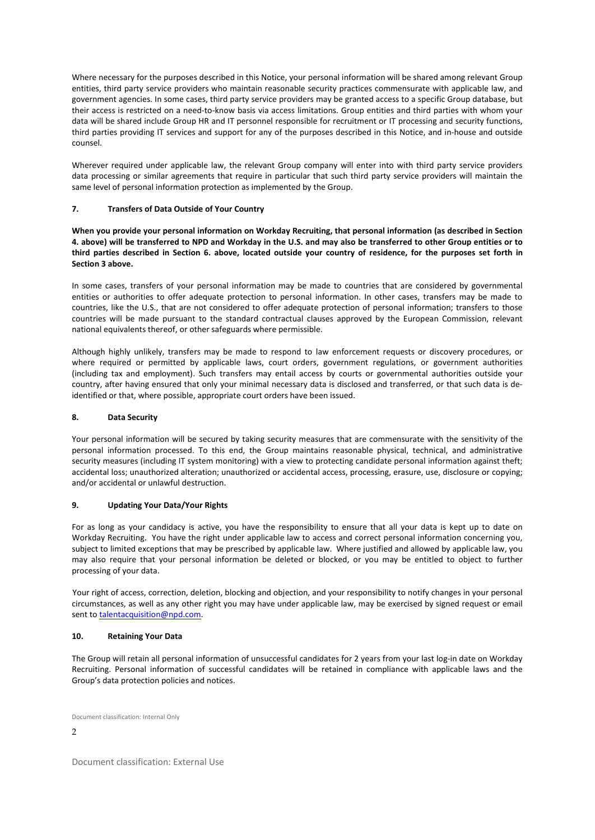Where necessary for the purposes described in this Notice, your personal information will be shared among relevant Group entities, third party service providers who maintain reasonable security practices commensurate with applicable law, and government agencies. In some cases, third party service providers may be granted access to a specific Group database, but their access is restricted on a need-to-know basis via access limitations. Group entities and third parties with whom your data will be shared include Group HR and IT personnel responsible for recruitment or IT processing and security functions, third parties providing IT services and support for any of the purposes described in this Notice, and in-house and outside counsel.

Wherever required under applicable law, the relevant Group company will enter into with third party service providers data processing or similar agreements that require in particular that such third party service providers will maintain the same level of personal information protection as implemented by the Group.

# **7. Transfers of Data Outside of Your Country**

**When you provide your personal information on Workday Recruiting, that personal information (as described in Section 4. above) will be transferred to NPD and Workday in the U.S. and may also be transferred to other Group entities or to third parties described in Section 6. above, located outside your country of residence, for the purposes set forth in Section 3 above.**

In some cases, transfers of your personal information may be made to countries that are considered by governmental entities or authorities to offer adequate protection to personal information. In other cases, transfers may be made to countries, like the U.S., that are not considered to offer adequate protection of personal information; transfers to those countries will be made pursuant to the standard contractual clauses approved by the European Commission, relevant national equivalents thereof, or other safeguards where permissible.

Although highly unlikely, transfers may be made to respond to law enforcement requests or discovery procedures, or where required or permitted by applicable laws, court orders, government regulations, or government authorities (including tax and employment). Such transfers may entail access by courts or governmental authorities outside your country, after having ensured that only your minimal necessary data is disclosed and transferred, or that such data is deidentified or that, where possible, appropriate court orders have been issued.

# **8. Data Security**

Your personal information will be secured by taking security measures that are commensurate with the sensitivity of the personal information processed. To this end, the Group maintains reasonable physical, technical, and administrative security measures (including IT system monitoring) with a view to protecting candidate personal information against theft; accidental loss; unauthorized alteration; unauthorized or accidental access, processing, erasure, use, disclosure or copying; and/or accidental or unlawful destruction.

#### **9. Updating Your Data/Your Rights**

For as long as your candidacy is active, you have the responsibility to ensure that all your data is kept up to date on Workday Recruiting. You have the right under applicable law to access and correct personal information concerning you, subject to limited exceptions that may be prescribed by applicable law. Where justified and allowed by applicable law, you may also require that your personal information be deleted or blocked, or you may be entitled to object to further processing of your data.

Your right of access, correction, deletion, blocking and objection, and your responsibility to notify changes in your personal circumstances, as well as any other right you may have under applicable law, may be exercised by signed request or email sent t[o talentacquisition@npd.com.](mailto:talentacquisition@npd.com)

#### **10. Retaining Your Data**

The Group will retain all personal information of unsuccessful candidates for 2 years from your last log-in date on Workday Recruiting. Personal information of successful candidates will be retained in compliance with applicable laws and the Group's data protection policies and notices.

Document classification: Internal Only

 $\mathcal{D}$ 

Document classification: External Use